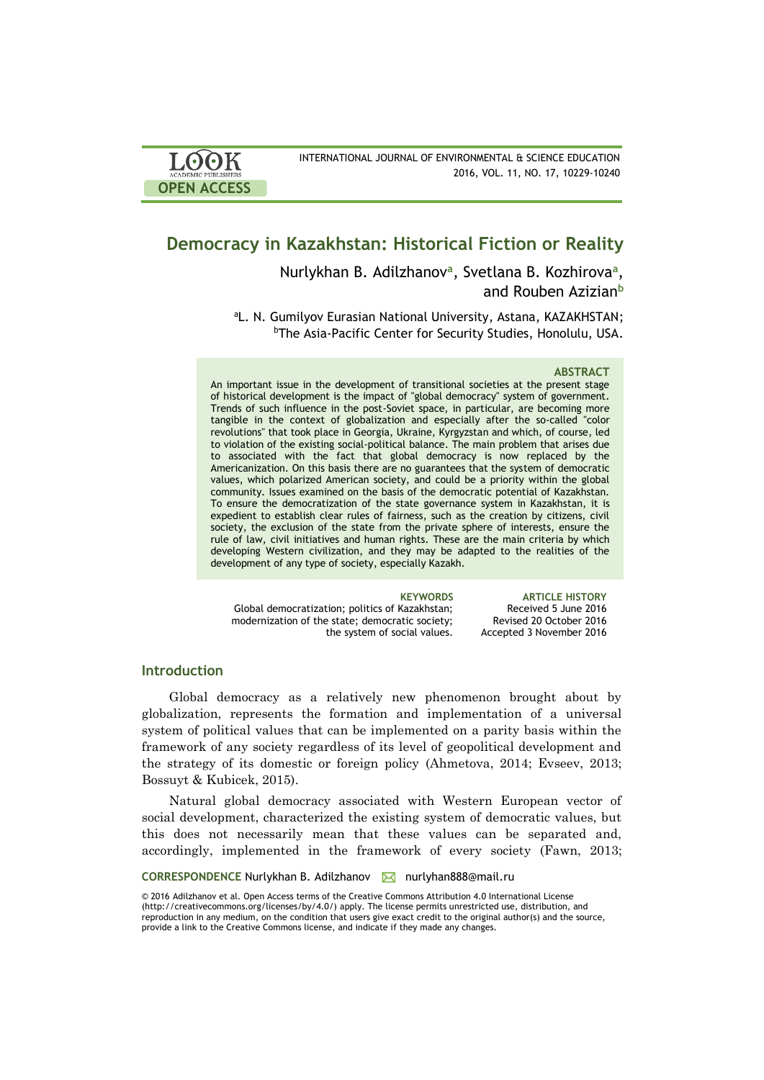

# **Democracy in Kazakhstan: Historical Fiction or Reality**

Nurlykhan B. Adilzhanov**<sup>a</sup>** , Svetlana B. Kozhirova**<sup>a</sup>** , and Rouben Azizian**<sup>b</sup>**

aL. N. Gumilyov Eurasian National University, Astana, KAZAKHSTAN; *bThe Asia-Pacific Center for Security Studies, Honolulu, USA.* 

### **ABSTRACT**

An important issue in the development of transitional societies at the present stage of historical development is the impact of "global democracy" system of government. Trends of such influence in the post-Soviet space, in particular, are becoming more tangible in the context of globalization and especially after the so-called "color revolutions" that took place in Georgia, Ukraine, Kyrgyzstan and which, of course, led to violation of the existing social-political balance. The main problem that arises due to associated with the fact that global democracy is now replaced by the Americanization. On this basis there are no guarantees that the system of democratic values, which polarized American society, and could be a priority within the global community. Issues examined on the basis of the democratic potential of Kazakhstan. To ensure the democratization of the state governance system in Kazakhstan, it is expedient to establish clear rules of fairness, such as the creation by citizens, civil society, the exclusion of the state from the private sphere of interests, ensure the rule of law, civil initiatives and human rights. These are the main criteria by which developing Western civilization, and they may be adapted to the realities of the development of any type of society, especially Kazakh.

Global democratization; politics of Kazakhstan; modernization of the state; democratic society; the system of social values.

**KEYWORDS ARTICLE HISTORY** Received 5 June 2016 Revised 20 October 2016 Accepted 3 November 2016

# **Introduction**

Global democracy as a relatively new phenomenon brought about by globalization, represents the formation and implementation of a universal system of political values that can be implemented on a parity basis within the framework of any society regardless of its level of geopolitical development and the strategy of its domestic or foreign policy (Ahmetova, 2014; Evseev, 2013; Bossuyt & Kubicek, 2015).

Natural global democracy associated with Western European vector of social development, characterized the existing system of democratic values, but this does not necessarily mean that these values can be separated and, accordingly, implemented in the framework of every society (Fawn, 2013;

CORRESPONDENCE Nurlykhan B. Adilzhanov **M** nurlyhan888@mail.ru

© 2016 Adilzhanov et al. Open Access terms of the Creative Commons Attribution 4.0 International License (http://creativecommons.org/licenses/by/4.0/) apply. The license permits unrestricted use, distribution, and reproduction in any medium, on the condition that users give exact credit to the original author(s) and the source, provide a link to the Creative Commons license, and indicate if they made any changes.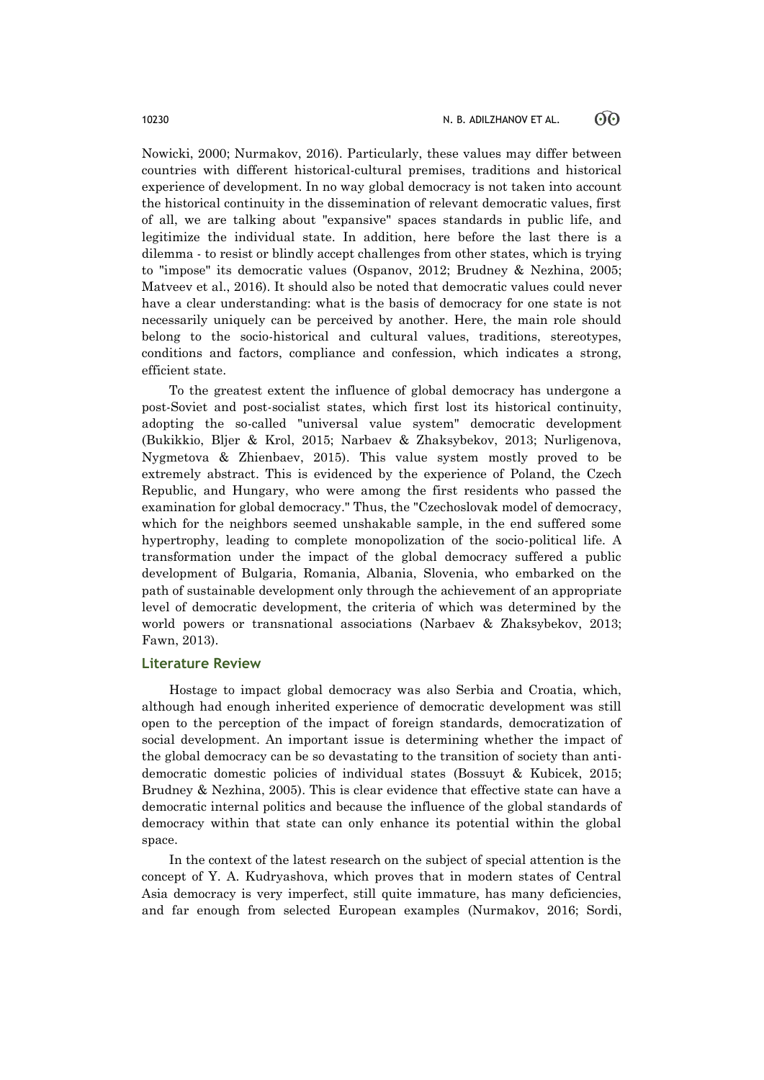Nowicki, 2000; Nurmakov, 2016). Particularly, these values may differ between countries with different historical-cultural premises, traditions and historical experience of development. In no way global democracy is not taken into account the historical continuity in the dissemination of relevant democratic values, first of all, we are talking about "expansive" spaces standards in public life, and legitimize the individual state. In addition, here before the last there is a dilemma - to resist or blindly accept challenges from other states, which is trying to "impose" its democratic values (Ospanov, 2012; Brudney & Nezhina, 2005; Matveev et al., 2016). It should also be noted that democratic values could never have a clear understanding: what is the basis of democracy for one state is not necessarily uniquely can be perceived by another. Here, the main role should belong to the socio-historical and cultural values, traditions, stereotypes, conditions and factors, compliance and confession, which indicates a strong, efficient state.

To the greatest extent the influence of global democracy has undergone a post-Soviet and post-socialist states, which first lost its historical continuity, adopting the so-called "universal value system" democratic development (Bukikkio, Bljer & Krol, 2015; Narbaev & Zhaksybekov, 2013; Nurligenova, Nygmetova & Zhienbaev, 2015). This value system mostly proved to be extremely abstract. This is evidenced by the experience of Poland, the Czech Republic, and Hungary, who were among the first residents who passed the examination for global democracy." Thus, the "Czechoslovak model of democracy, which for the neighbors seemed unshakable sample, in the end suffered some hypertrophy, leading to complete monopolization of the socio-political life. A transformation under the impact of the global democracy suffered a public development of Bulgaria, Romania, Albania, Slovenia, who embarked on the path of sustainable development only through the achievement of an appropriate level of democratic development, the criteria of which was determined by the world powers or transnational associations (Narbaev & Zhaksybekov, 2013; Fawn, 2013).

### **Literature Review**

Hostage to impact global democracy was also Serbia and Croatia, which, although had enough inherited experience of democratic development was still open to the perception of the impact of foreign standards, democratization of social development. An important issue is determining whether the impact of the global democracy can be so devastating to the transition of society than antidemocratic domestic policies of individual states (Bossuyt & Kubicek, 2015; Brudney & Nezhina, 2005). This is clear evidence that effective state can have a democratic internal politics and because the influence of the global standards of democracy within that state can only enhance its potential within the global space.

In the context of the latest research on the subject of special attention is the concept of Y. A. Kudryashova, which proves that in modern states of Central Asia democracy is very imperfect, still quite immature, has many deficiencies, and far enough from selected European examples (Nurmakov, 2016; Sordi,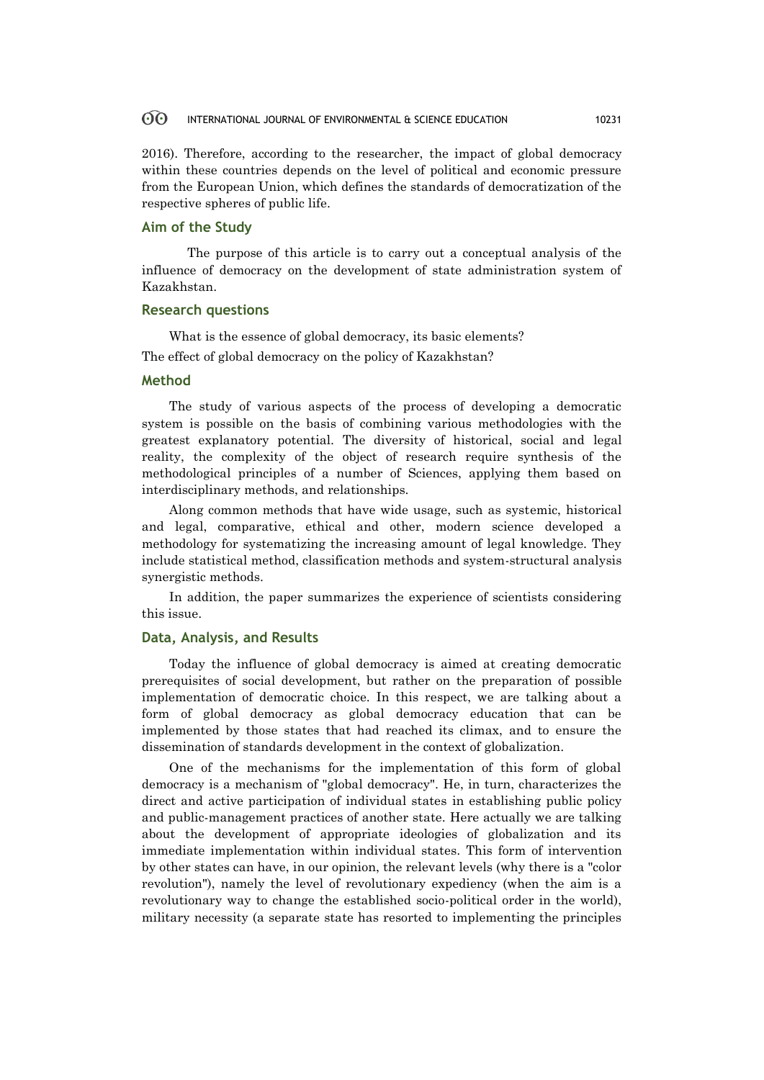2016). Therefore, according to the researcher, the impact of global democracy within these countries depends on the level of political and economic pressure from the European Union, which defines the standards of democratization of the respective spheres of public life.

# **Aim of the Study**

The purpose of this article is to carry out a conceptual analysis of the influence of democracy on the development of state administration system of Kazakhstan.

# **Research questions**

What is the essence of global democracy, its basic elements?

The effect of global democracy on the policy of Kazakhstan?

# **Method**

The study of various aspects of the process of developing a democratic system is possible on the basis of combining various methodologies with the greatest explanatory potential. The diversity of historical, social and legal reality, the complexity of the object of research require synthesis of the methodological principles of a number of Sciences, applying them based on interdisciplinary methods, and relationships.

Along common methods that have wide usage, such as systemic, historical and legal, comparative, ethical and other, modern science developed a methodology for systematizing the increasing amount of legal knowledge. They include statistical method, classification methods and system-structural analysis synergistic methods.

In addition, the paper summarizes the experience of scientists considering this issue.

# **Data, Analysis, and Results**

Today the influence of global democracy is aimed at creating democratic prerequisites of social development, but rather on the preparation of possible implementation of democratic choice. In this respect, we are talking about a form of global democracy as global democracy education that can be implemented by those states that had reached its climax, and to ensure the dissemination of standards development in the context of globalization.

One of the mechanisms for the implementation of this form of global democracy is a mechanism of "global democracy". He, in turn, characterizes the direct and active participation of individual states in establishing public policy and public-management practices of another state. Here actually we are talking about the development of appropriate ideologies of globalization and its immediate implementation within individual states. This form of intervention by other states can have, in our opinion, the relevant levels (why there is a "color revolution"), namely the level of revolutionary expediency (when the aim is a revolutionary way to change the established socio-political order in the world), military necessity (a separate state has resorted to implementing the principles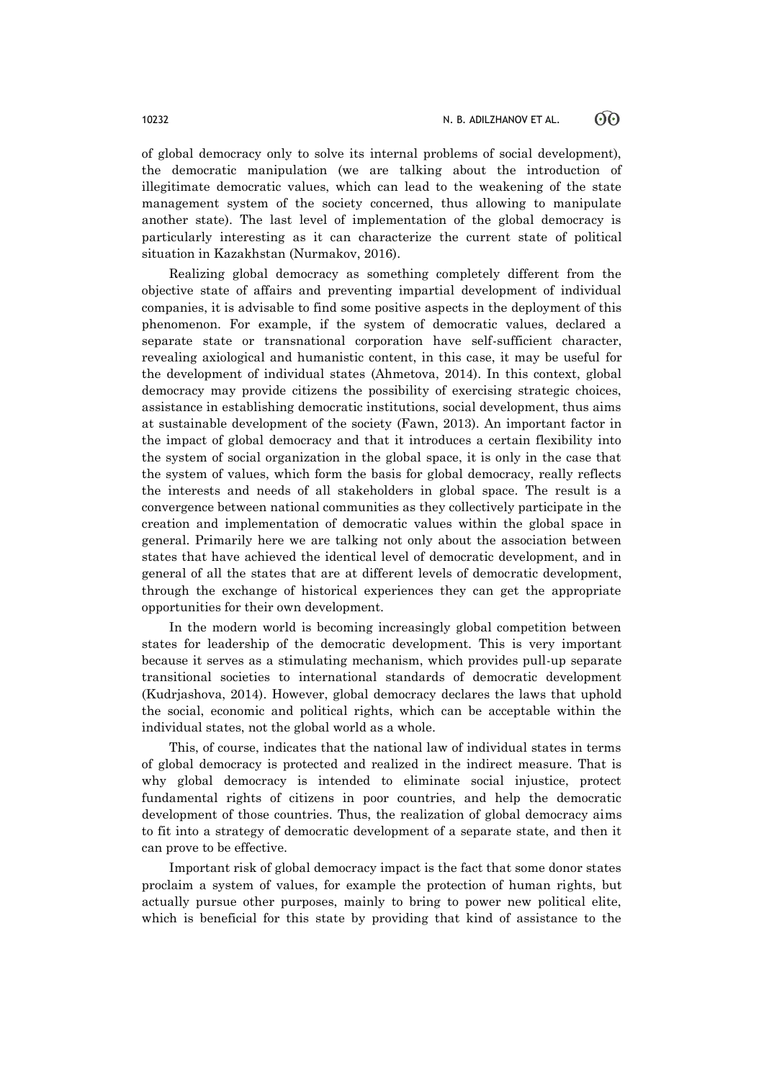of global democracy only to solve its internal problems of social development), the democratic manipulation (we are talking about the introduction of illegitimate democratic values, which can lead to the weakening of the state management system of the society concerned, thus allowing to manipulate another state). The last level of implementation of the global democracy is particularly interesting as it can characterize the current state of political situation in Kazakhstan (Nurmakov, 2016).

Realizing global democracy as something completely different from the objective state of affairs and preventing impartial development of individual companies, it is advisable to find some positive aspects in the deployment of this phenomenon. For example, if the system of democratic values, declared a separate state or transnational corporation have self-sufficient character, revealing axiological and humanistic content, in this case, it may be useful for the development of individual states (Ahmetova, 2014). In this context, global democracy may provide citizens the possibility of exercising strategic choices, assistance in establishing democratic institutions, social development, thus aims at sustainable development of the society (Fawn, 2013). An important factor in the impact of global democracy and that it introduces a certain flexibility into the system of social organization in the global space, it is only in the case that the system of values, which form the basis for global democracy, really reflects the interests and needs of all stakeholders in global space. The result is a convergence between national communities as they collectively participate in the creation and implementation of democratic values within the global space in general. Primarily here we are talking not only about the association between states that have achieved the identical level of democratic development, and in general of all the states that are at different levels of democratic development, through the exchange of historical experiences they can get the appropriate opportunities for their own development.

In the modern world is becoming increasingly global competition between states for leadership of the democratic development. This is very important because it serves as a stimulating mechanism, which provides pull-up separate transitional societies to international standards of democratic development (Kudrjashova, 2014). However, global democracy declares the laws that uphold the social, economic and political rights, which can be acceptable within the individual states, not the global world as a whole.

This, of course, indicates that the national law of individual states in terms of global democracy is protected and realized in the indirect measure. That is why global democracy is intended to eliminate social injustice, protect fundamental rights of citizens in poor countries, and help the democratic development of those countries. Thus, the realization of global democracy aims to fit into a strategy of democratic development of a separate state, and then it can prove to be effective.

Important risk of global democracy impact is the fact that some donor states proclaim a system of values, for example the protection of human rights, but actually pursue other purposes, mainly to bring to power new political elite, which is beneficial for this state by providing that kind of assistance to the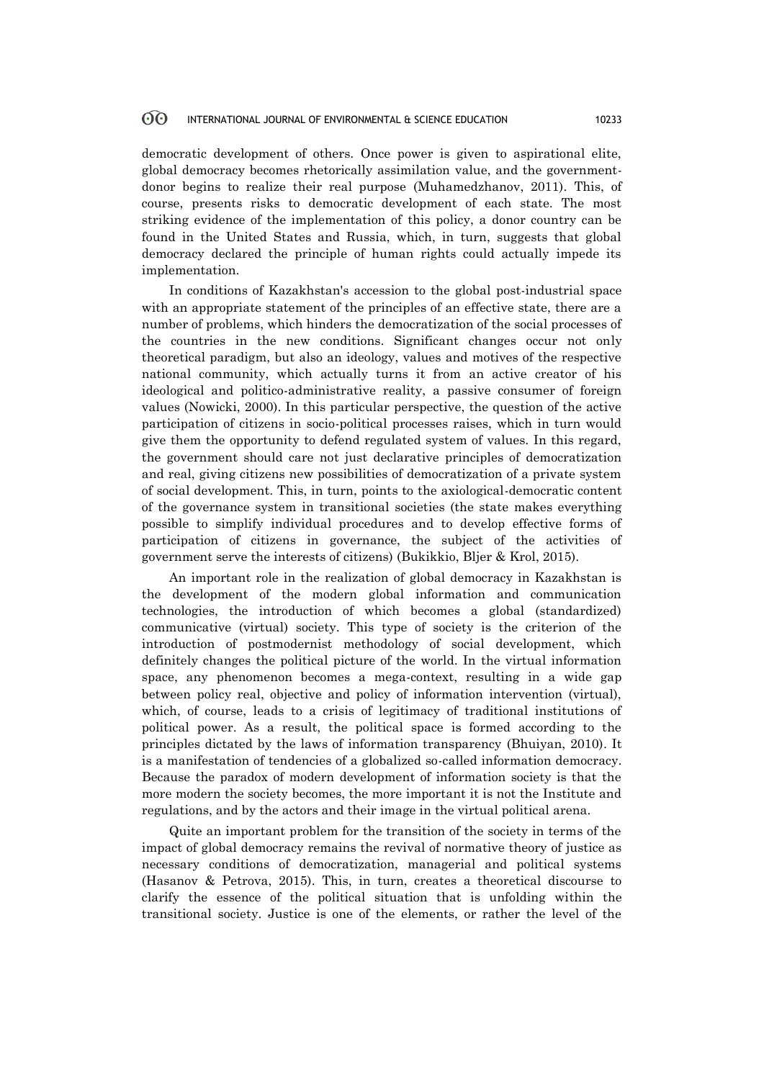democratic development of others. Once power is given to aspirational elite, global democracy becomes rhetorically assimilation value, and the governmentdonor begins to realize their real purpose (Muhamedzhanov, 2011). This, of course, presents risks to democratic development of each state. The most striking evidence of the implementation of this policy, a donor country can be found in the United States and Russia, which, in turn, suggests that global democracy declared the principle of human rights could actually impede its implementation.

In conditions of Kazakhstan's accession to the global post-industrial space with an appropriate statement of the principles of an effective state, there are a number of problems, which hinders the democratization of the social processes of the countries in the new conditions. Significant changes occur not only theoretical paradigm, but also an ideology, values and motives of the respective national community, which actually turns it from an active creator of his ideological and politico-administrative reality, a passive consumer of foreign values (Nowicki, 2000). In this particular perspective, the question of the active participation of citizens in socio-political processes raises, which in turn would give them the opportunity to defend regulated system of values. In this regard, the government should care not just declarative principles of democratization and real, giving citizens new possibilities of democratization of a private system of social development. This, in turn, points to the axiological-democratic content of the governance system in transitional societies (the state makes everything possible to simplify individual procedures and to develop effective forms of participation of citizens in governance, the subject of the activities of government serve the interests of citizens) (Bukikkio, Bljer & Krol, 2015).

An important role in the realization of global democracy in Kazakhstan is the development of the modern global information and communication technologies, the introduction of which becomes a global (standardized) communicative (virtual) society. This type of society is the criterion of the introduction of postmodernist methodology of social development, which definitely changes the political picture of the world. In the virtual information space, any phenomenon becomes a mega-context, resulting in a wide gap between policy real, objective and policy of information intervention (virtual), which, of course, leads to a crisis of legitimacy of traditional institutions of political power. As a result, the political space is formed according to the principles dictated by the laws of information transparency (Bhuiyan, 2010). It is a manifestation of tendencies of a globalized so-called information democracy. Because the paradox of modern development of information society is that the more modern the society becomes, the more important it is not the Institute and regulations, and by the actors and their image in the virtual political arena.

Quite an important problem for the transition of the society in terms of the impact of global democracy remains the revival of normative theory of justice as necessary conditions of democratization, managerial and political systems (Hasanov & Petrova, 2015). This, in turn, creates a theoretical discourse to clarify the essence of the political situation that is unfolding within the transitional society. Justice is one of the elements, or rather the level of the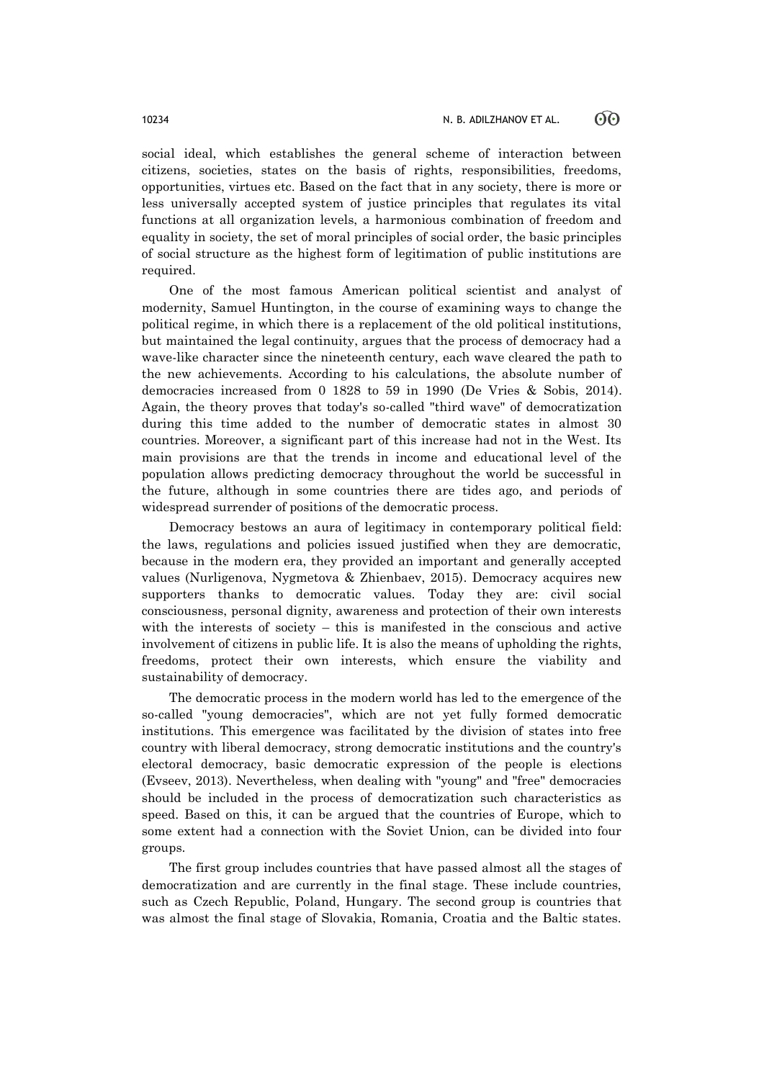social ideal, which establishes the general scheme of interaction between citizens, societies, states on the basis of rights, responsibilities, freedoms, opportunities, virtues etc. Based on the fact that in any society, there is more or less universally accepted system of justice principles that regulates its vital functions at all organization levels, a harmonious combination of freedom and equality in society, the set of moral principles of social order, the basic principles of social structure as the highest form of legitimation of public institutions are required.

One of the most famous American political scientist and analyst of modernity, Samuel Huntington, in the course of examining ways to change the political regime, in which there is a replacement of the old political institutions, but maintained the legal continuity, argues that the process of democracy had a wave-like character since the nineteenth century, each wave cleared the path to the new achievements. According to his calculations, the absolute number of democracies increased from 0 1828 to 59 in 1990 (De Vries & Sobis, 2014). Again, the theory proves that today's so-called "third wave" of democratization during this time added to the number of democratic states in almost 30 countries. Moreover, a significant part of this increase had not in the West. Its main provisions are that the trends in income and educational level of the population allows predicting democracy throughout the world be successful in the future, although in some countries there are tides ago, and periods of widespread surrender of positions of the democratic process.

Democracy bestows an aura of legitimacy in contemporary political field: the laws, regulations and policies issued justified when they are democratic, because in the modern era, they provided an important and generally accepted values (Nurligenova, Nygmetova & Zhienbaev, 2015). Democracy acquires new supporters thanks to democratic values. Today they are: civil social consciousness, personal dignity, awareness and protection of their own interests with the interests of society – this is manifested in the conscious and active involvement of citizens in public life. It is also the means of upholding the rights, freedoms, protect their own interests, which ensure the viability and sustainability of democracy.

The democratic process in the modern world has led to the emergence of the so-called "young democracies", which are not yet fully formed democratic institutions. This emergence was facilitated by the division of states into free country with liberal democracy, strong democratic institutions and the country's electoral democracy, basic democratic expression of the people is elections (Evseev, 2013). Nevertheless, when dealing with "young" and "free" democracies should be included in the process of democratization such characteristics as speed. Based on this, it can be argued that the countries of Europe, which to some extent had a connection with the Soviet Union, can be divided into four groups.

The first group includes countries that have passed almost all the stages of democratization and are currently in the final stage. These include countries, such as Czech Republic, Poland, Hungary. The second group is countries that was almost the final stage of Slovakia, Romania, Croatia and the Baltic states.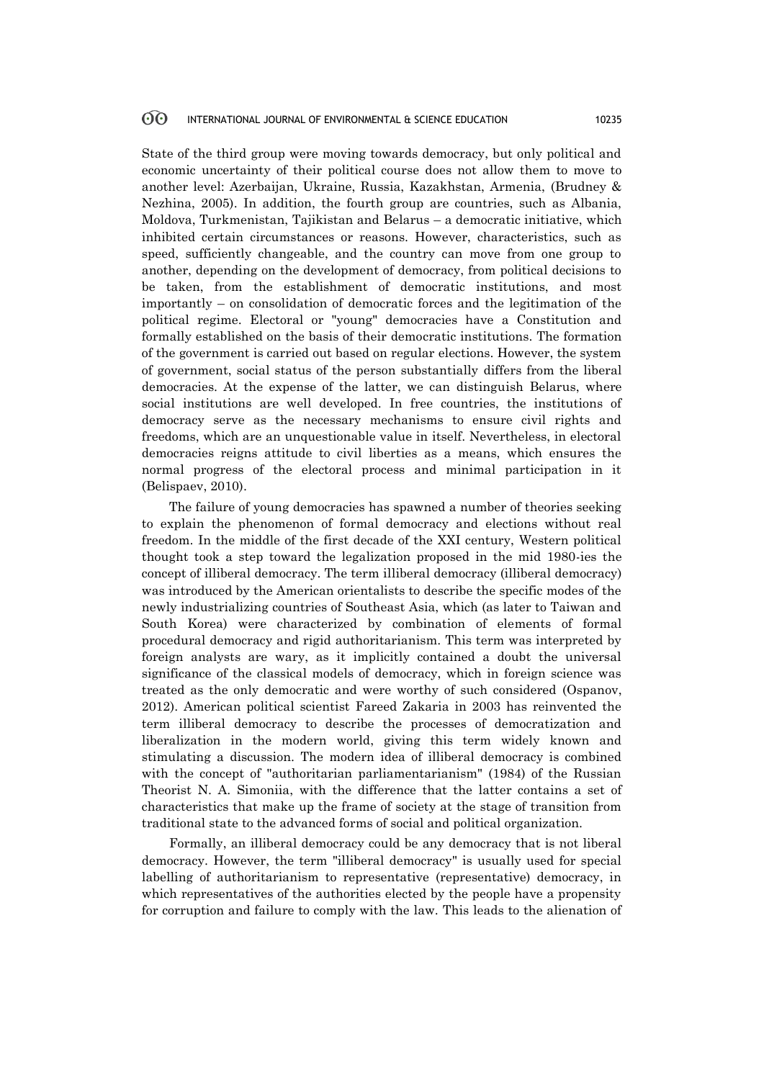State of the third group were moving towards democracy, but only political and economic uncertainty of their political course does not allow them to move to another level: Azerbaijan, Ukraine, Russia, Kazakhstan, Armenia, (Brudney & Nezhina, 2005). In addition, the fourth group are countries, such as Albania, Moldova, Turkmenistan, Tajikistan and Belarus – a democratic initiative, which inhibited certain circumstances or reasons. However, characteristics, such as speed, sufficiently changeable, and the country can move from one group to another, depending on the development of democracy, from political decisions to be taken, from the establishment of democratic institutions, and most importantly – on consolidation of democratic forces and the legitimation of the political regime. Electoral or "young" democracies have a Constitution and formally established on the basis of their democratic institutions. The formation of the government is carried out based on regular elections. However, the system of government, social status of the person substantially differs from the liberal democracies. At the expense of the latter, we can distinguish Belarus, where social institutions are well developed. In free countries, the institutions of democracy serve as the necessary mechanisms to ensure civil rights and freedoms, which are an unquestionable value in itself. Nevertheless, in electoral democracies reigns attitude to civil liberties as a means, which ensures the normal progress of the electoral process and minimal participation in it (Belispaev, 2010).

The failure of young democracies has spawned a number of theories seeking to explain the phenomenon of formal democracy and elections without real freedom. In the middle of the first decade of the XXI century, Western political thought took a step toward the legalization proposed in the mid 1980-ies the concept of illiberal democracy. The term illiberal democracy (illiberal democracy) was introduced by the American orientalists to describe the specific modes of the newly industrializing countries of Southeast Asia, which (as later to Taiwan and South Korea) were characterized by combination of elements of formal procedural democracy and rigid authoritarianism. This term was interpreted by foreign analysts are wary, as it implicitly contained a doubt the universal significance of the classical models of democracy, which in foreign science was treated as the only democratic and were worthy of such considered (Ospanov, 2012). American political scientist Fareed Zakaria in 2003 has reinvented the term illiberal democracy to describe the processes of democratization and liberalization in the modern world, giving this term widely known and stimulating a discussion. The modern idea of illiberal democracy is combined with the concept of "authoritarian parliamentarianism" (1984) of the Russian Theorist N. A. Simoniia, with the difference that the latter contains a set of characteristics that make up the frame of society at the stage of transition from traditional state to the advanced forms of social and political organization.

Formally, an illiberal democracy could be any democracy that is not liberal democracy. However, the term "illiberal democracy" is usually used for special labelling of authoritarianism to representative (representative) democracy, in which representatives of the authorities elected by the people have a propensity for corruption and failure to comply with the law. This leads to the alienation of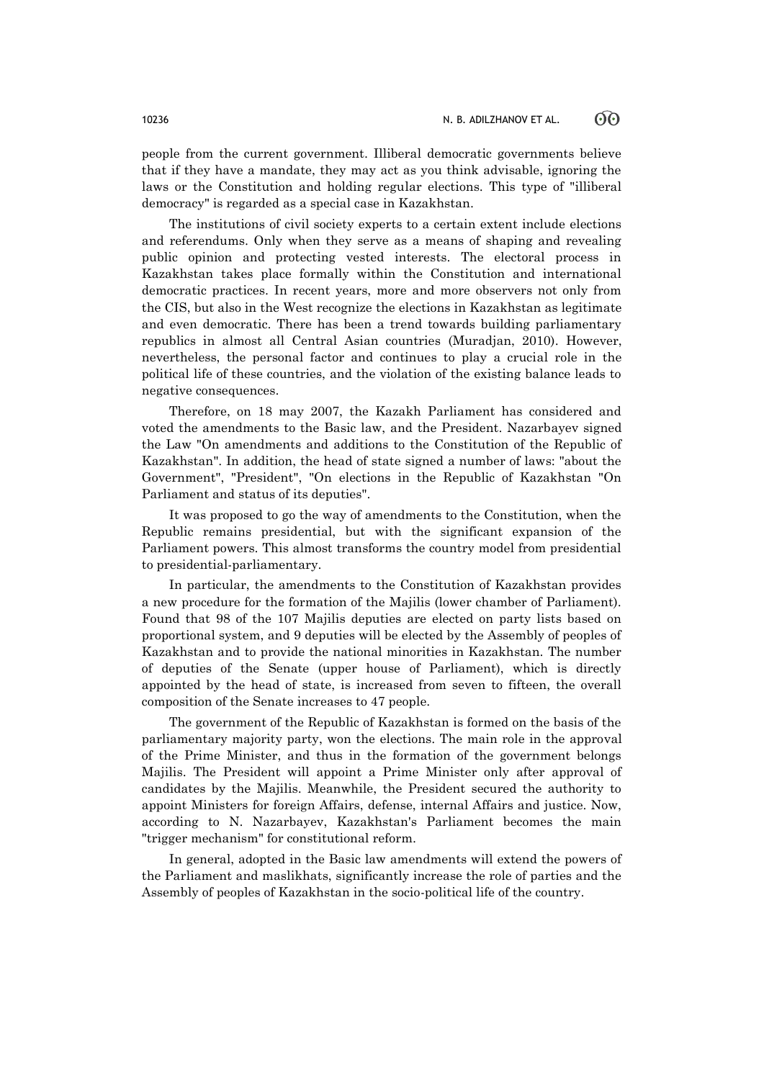people from the current government. Illiberal democratic governments believe that if they have a mandate, they may act as you think advisable, ignoring the laws or the Constitution and holding regular elections. This type of "illiberal democracy" is regarded as a special case in Kazakhstan.

The institutions of civil society experts to a certain extent include elections and referendums. Only when they serve as a means of shaping and revealing public opinion and protecting vested interests. The electoral process in Kazakhstan takes place formally within the Constitution and international democratic practices. In recent years, more and more observers not only from the CIS, but also in the West recognize the elections in Kazakhstan as legitimate and even democratic. There has been a trend towards building parliamentary republics in almost all Central Asian countries (Muradjan, 2010). However, nevertheless, the personal factor and continues to play a crucial role in the political life of these countries, and the violation of the existing balance leads to negative consequences.

Therefore, on 18 may 2007, the Kazakh Parliament has considered and voted the amendments to the Basic law, and the President. Nazarbayev signed the Law "On amendments and additions to the Constitution of the Republic of Kazakhstan". In addition, the head of state signed a number of laws: "about the Government", "President", "On elections in the Republic of Kazakhstan "On Parliament and status of its deputies".

It was proposed to go the way of amendments to the Constitution, when the Republic remains presidential, but with the significant expansion of the Parliament powers. This almost transforms the country model from presidential to presidential-parliamentary.

In particular, the amendments to the Constitution of Kazakhstan provides a new procedure for the formation of the Majilis (lower chamber of Parliament). Found that 98 of the 107 Majilis deputies are elected on party lists based on proportional system, and 9 deputies will be elected by the Assembly of peoples of Kazakhstan and to provide the national minorities in Kazakhstan. The number of deputies of the Senate (upper house of Parliament), which is directly appointed by the head of state, is increased from seven to fifteen, the overall composition of the Senate increases to 47 people.

The government of the Republic of Kazakhstan is formed on the basis of the parliamentary majority party, won the elections. The main role in the approval of the Prime Minister, and thus in the formation of the government belongs Majilis. The President will appoint a Prime Minister only after approval of candidates by the Majilis. Meanwhile, the President secured the authority to appoint Ministers for foreign Affairs, defense, internal Affairs and justice. Now, according to N. Nazarbayev, Kazakhstan's Parliament becomes the main "trigger mechanism" for constitutional reform.

In general, adopted in the Basic law amendments will extend the powers of the Parliament and maslikhats, significantly increase the role of parties and the Assembly of peoples of Kazakhstan in the socio-political life of the country.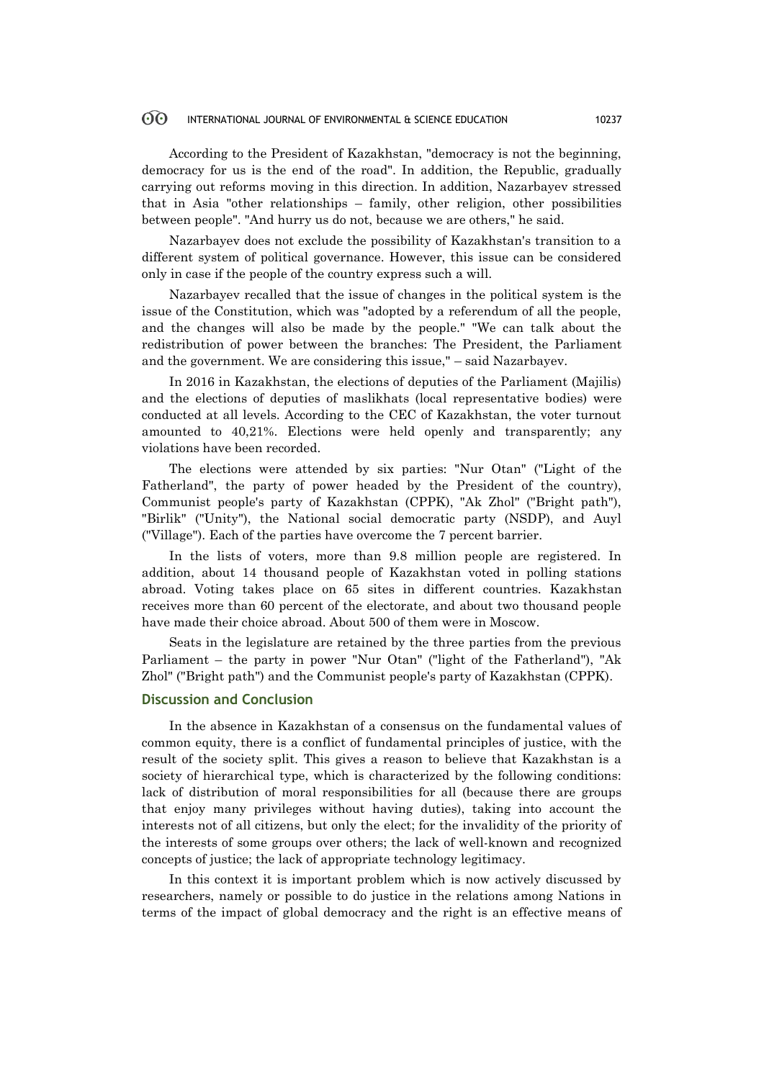According to the President of Kazakhstan, "democracy is not the beginning, democracy for us is the end of the road". In addition, the Republic, gradually carrying out reforms moving in this direction. In addition, Nazarbayev stressed that in Asia "other relationships – family, other religion, other possibilities between people". "And hurry us do not, because we are others," he said.

Nazarbayev does not exclude the possibility of Kazakhstan's transition to a different system of political governance. However, this issue can be considered only in case if the people of the country express such a will.

Nazarbayev recalled that the issue of changes in the political system is the issue of the Constitution, which was "adopted by a referendum of all the people, and the changes will also be made by the people." "We can talk about the redistribution of power between the branches: The President, the Parliament and the government. We are considering this issue," – said Nazarbayev.

In 2016 in Kazakhstan, the elections of deputies of the Parliament (Majilis) and the elections of deputies of maslikhats (local representative bodies) were conducted at all levels. According to the CEC of Kazakhstan, the voter turnout amounted to 40,21%. Elections were held openly and transparently; any violations have been recorded.

The elections were attended by six parties: "Nur Otan" ("Light of the Fatherland", the party of power headed by the President of the country), Communist people's party of Kazakhstan (CPPK), "Ak Zhol" ("Bright path"), "Birlik" ("Unity"), the National social democratic party (NSDP), and Auyl ("Village"). Each of the parties have overcome the 7 percent barrier.

In the lists of voters, more than 9.8 million people are registered. In addition, about 14 thousand people of Kazakhstan voted in polling stations abroad. Voting takes place on 65 sites in different countries. Kazakhstan receives more than 60 percent of the electorate, and about two thousand people have made their choice abroad. About 500 of them were in Moscow.

Seats in the legislature are retained by the three parties from the previous Parliament – the party in power "Nur Otan" ("light of the Fatherland"), "Ak Zhol" ("Bright path") and the Communist people's party of Kazakhstan (CPPK).

# **Discussion and Conclusion**

In the absence in Kazakhstan of a consensus on the fundamental values of common equity, there is a conflict of fundamental principles of justice, with the result of the society split. This gives a reason to believe that Kazakhstan is a society of hierarchical type, which is characterized by the following conditions: lack of distribution of moral responsibilities for all (because there are groups that enjoy many privileges without having duties), taking into account the interests not of all citizens, but only the elect; for the invalidity of the priority of the interests of some groups over others; the lack of well-known and recognized concepts of justice; the lack of appropriate technology legitimacy.

In this context it is important problem which is now actively discussed by researchers, namely or possible to do justice in the relations among Nations in terms of the impact of global democracy and the right is an effective means of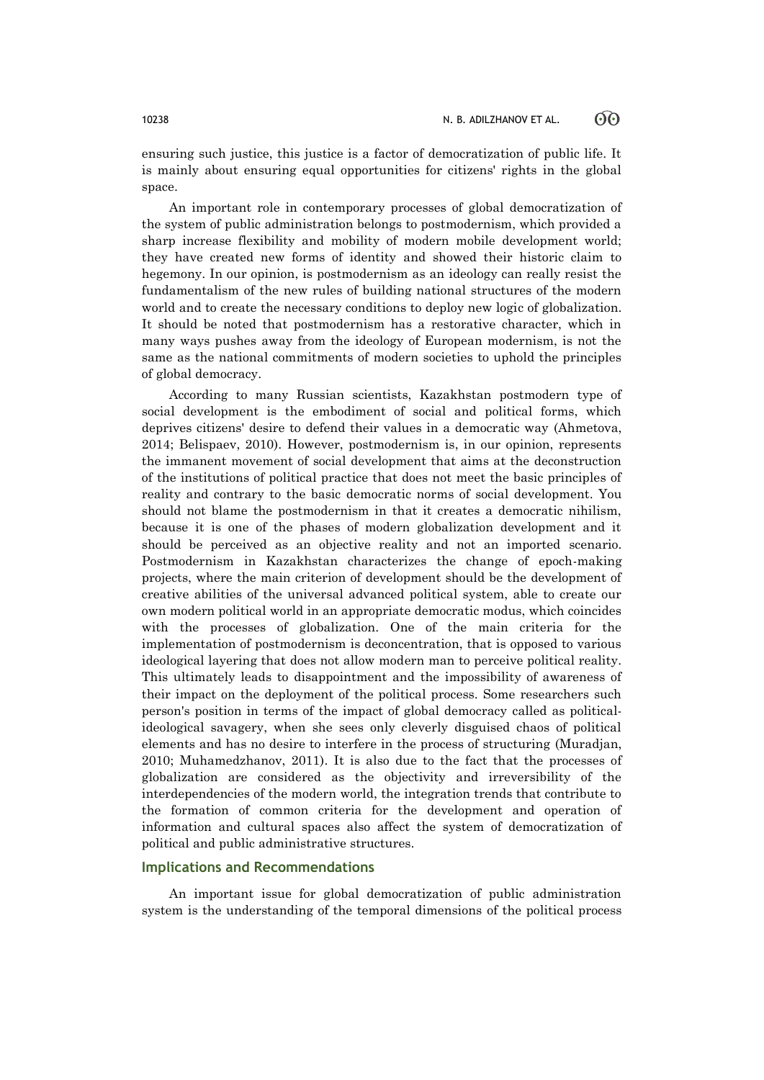ensuring such justice, this justice is a factor of democratization of public life. It is mainly about ensuring equal opportunities for citizens' rights in the global space.

An important role in contemporary processes of global democratization of the system of public administration belongs to postmodernism, which provided a sharp increase flexibility and mobility of modern mobile development world; they have created new forms of identity and showed their historic claim to hegemony. In our opinion, is postmodernism as an ideology can really resist the fundamentalism of the new rules of building national structures of the modern world and to create the necessary conditions to deploy new logic of globalization. It should be noted that postmodernism has a restorative character, which in many ways pushes away from the ideology of European modernism, is not the same as the national commitments of modern societies to uphold the principles of global democracy.

According to many Russian scientists, Kazakhstan postmodern type of social development is the embodiment of social and political forms, which deprives citizens' desire to defend their values in a democratic way (Ahmetova, 2014; Belispaev, 2010). However, postmodernism is, in our opinion, represents the immanent movement of social development that aims at the deconstruction of the institutions of political practice that does not meet the basic principles of reality and contrary to the basic democratic norms of social development. You should not blame the postmodernism in that it creates a democratic nihilism, because it is one of the phases of modern globalization development and it should be perceived as an objective reality and not an imported scenario. Postmodernism in Kazakhstan characterizes the change of epoch-making projects, where the main criterion of development should be the development of creative abilities of the universal advanced political system, able to create our own modern political world in an appropriate democratic modus, which coincides with the processes of globalization. One of the main criteria for the implementation of postmodernism is deconcentration, that is opposed to various ideological layering that does not allow modern man to perceive political reality. This ultimately leads to disappointment and the impossibility of awareness of their impact on the deployment of the political process. Some researchers such person's position in terms of the impact of global democracy called as politicalideological savagery, when she sees only cleverly disguised chaos of political elements and has no desire to interfere in the process of structuring (Muradjan, 2010; Muhamedzhanov, 2011). It is also due to the fact that the processes of globalization are considered as the objectivity and irreversibility of the interdependencies of the modern world, the integration trends that contribute to the formation of common criteria for the development and operation of information and cultural spaces also affect the system of democratization of political and public administrative structures.

# **Implications and Recommendations**

An important issue for global democratization of public administration system is the understanding of the temporal dimensions of the political process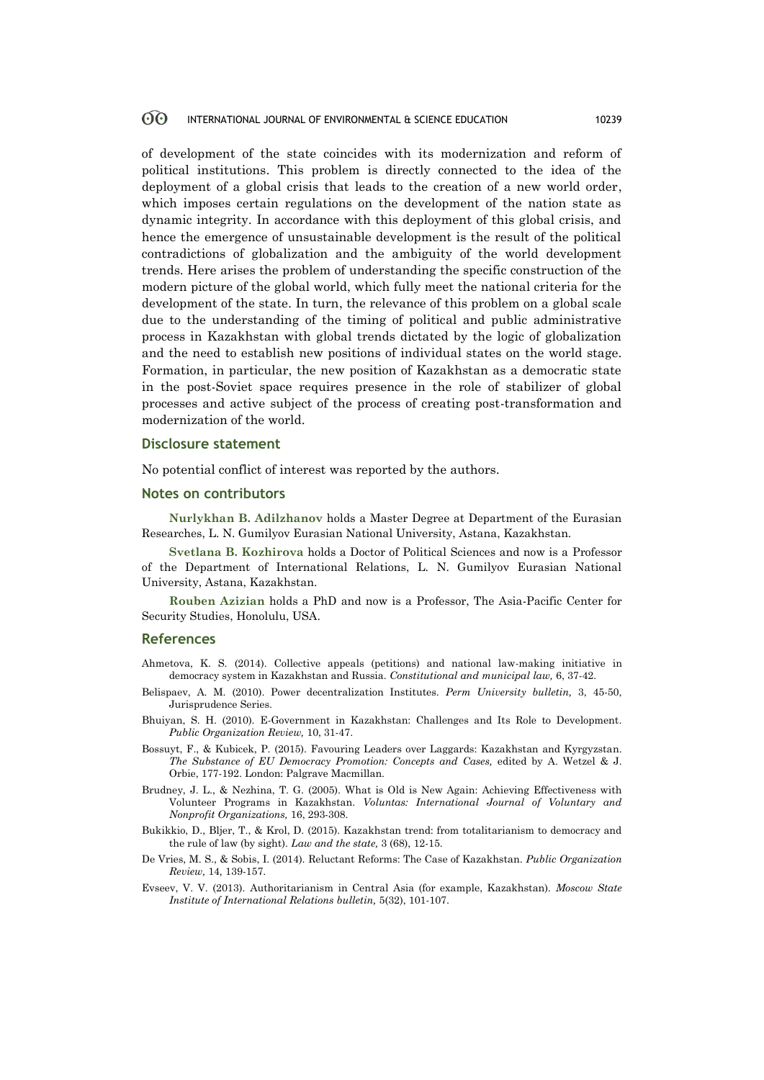of development of the state coincides with its modernization and reform of political institutions. This problem is directly connected to the idea of the deployment of a global crisis that leads to the creation of a new world order, which imposes certain regulations on the development of the nation state as dynamic integrity. In accordance with this deployment of this global crisis, and hence the emergence of unsustainable development is the result of the political contradictions of globalization and the ambiguity of the world development trends. Here arises the problem of understanding the specific construction of the modern picture of the global world, which fully meet the national criteria for the development of the state. In turn, the relevance of this problem on a global scale due to the understanding of the timing of political and public administrative process in Kazakhstan with global trends dictated by the logic of globalization and the need to establish new positions of individual states on the world stage. Formation, in particular, the new position of Kazakhstan as a democratic state in the post-Soviet space requires presence in the role of stabilizer of global processes and active subject of the process of creating post-transformation and modernization of the world.

### **Disclosure statement**

No potential conflict of interest was reported by the authors.

# **Notes on contributors**

**Nurlykhan B. Adilzhanov** holds a Master Degree at Department of the Eurasian Researches, L. N. Gumilyov Eurasian National University, Astana, Kazakhstan.

**Svetlana B. Kozhirova** holds a Doctor of Political Sciences and now is a Professor of the Department of International Relations, L. N. Gumilyov Eurasian National University, Astana, Kazakhstan.

**Rouben Azizian** holds a PhD and now is a Professor, The Asia-Pacific Center for Security Studies, Honolulu, USA.

### **References**

Ahmetova, K. S. (2014). Collective appeals (petitions) and national law-making initiative in democracy system in Kazakhstan and Russia. *Constitutional and municipal law,* 6, 37-42.

- Belispaev, A. M. (2010). Power decentralization Institutes. *Perm University bulletin,* 3, 45-50, Jurisprudence Series.
- Bhuiyan, S. H. (2010). E-Government in Kazakhstan: Challenges and Its Role to Development. *Public Organization Review,* 10, 31-47.
- Bossuyt, F., & Kubicek, P. (2015). Favouring Leaders over Laggards: Kazakhstan and Kyrgyzstan. *The Substance of EU Democracy Promotion: Concepts and Cases,* edited by A. Wetzel & J. Orbie, 177-192. London: Palgrave Macmillan.
- Brudney, J. L., & Nezhina, T. G. (2005). What is Old is New Again: Achieving Effectiveness with Volunteer Programs in Kazakhstan. *Voluntas: International Journal of Voluntary and Nonprofit Organizations,* 16, 293-308.
- Bukikkio, D., Bljer, T., & Krol, D. (2015). Kazakhstan trend: from totalitarianism to democracy and the rule of law (by sight). *Law and the state,* 3 (68), 12-15.
- De Vries, M. S., & Sobis, I. (2014). Reluctant Reforms: The Case of Kazakhstan. *Public Organization Review,* 14*,* 139-157.
- Evseev, V. V. (2013). Authoritarianism in Central Asia (for example, Kazakhstan). *Moscow State Institute of International Relations bulletin,* 5(32), 101-107.